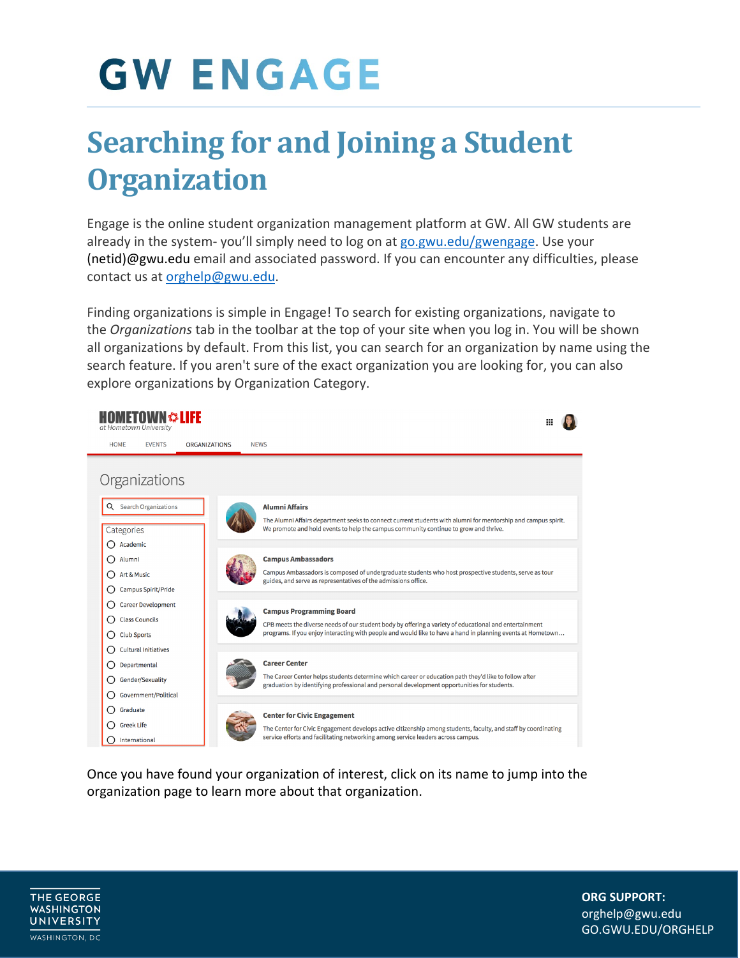## **GW ENGAGE**

## **Searching for and Joining a Student Organization**

Engage is the online student organization management platform at GW. All GW students are already in the system-you'll simply need to log on at [go.gwu.edu/gwengage.](https://go.gwu.edu/gwengage) Use your [\(netid\)@gwu.edu](mailto:netid@gwu.edu) email and associated password. If you can encounter any difficulties, please contact us at [orghelp@gwu.edu.](mailto:orghelp@gwu.edu)

Finding organizations is simple in Engage! To search for existing organizations, navigate to the *Organizations* tab in the toolbar at the top of your site when you log in. You will be shown all organizations by default. From this list, you can search for an organization by name using the search feature. If you aren't sure of the exact organization you are looking for, you can also explore organizations by Organization Category.



Once you have found your organization of interest, click on its name to jump into the organization page to learn more about that organization.



**ORG SUPPORT: ORG SUPPORT:** orghelp@gwu.edu orghelp@gwu.edu GO.GWU.EDU/ORGHELP GO.GWU.EDU/ORGHELP